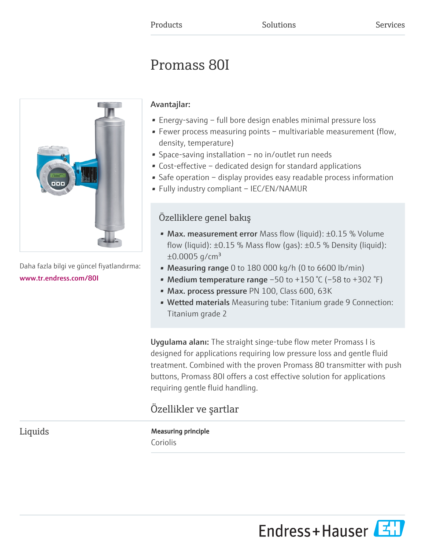# Promass 80I



Daha fazla bilgi ve güncel fiyatlandırma: [www.tr.endress.com/80I](https://www.tr.endress.com/80I)

# Avantajlar:

- Energy-saving full bore design enables minimal pressure loss
- Fewer process measuring points multivariable measurement (flow, density, temperature)
- Space-saving installation no in/outlet run needs
- Cost-effective dedicated design for standard applications
- Safe operation display provides easy readable process information
- Fully industry compliant IEC/EN/NAMUR

# Özelliklere genel bakış

- Max. measurement error Mass flow (liquid): ±0.15 % Volume flow (liquid):  $\pm 0.15$  % Mass flow (gas):  $\pm 0.5$  % Density (liquid):  $\pm 0.0005$  g/cm<sup>3</sup>
- Measuring range 0 to 180 000 kg/h (0 to 6600 lb/min)
- Medium temperature range  $-50$  to  $+150$  °C ( $-58$  to  $+302$  °F)
- Max. process pressure PN 100, Class 600, 63K
- Wetted materials Measuring tube: Titanium grade 9 Connection: Titanium grade 2

Uygulama alanı: The straight singe-tube flow meter Promass I is designed for applications requiring low pressure loss and gentle fluid treatment. Combined with the proven Promass 80 transmitter with push buttons, Promass 80I offers a cost effective solution for applications requiring gentle fluid handling.

# Özellikler ve şartlar

# Liquids Measuring principle Coriolis

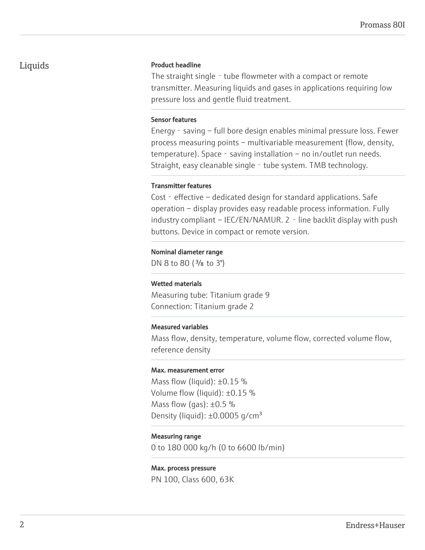# Liquids Product headline

The straight single - tube flowmeter with a compact or remote transmitter. Measuring liquids and gases in applications requiring low pressure loss and gentle fluid treatment.

#### Sensor features

Energy - saving – full bore design enables minimal pressure loss. Fewer process measuring points – multivariable measurement (flow, density, temperature). Space - saving installation – no in/outlet run needs. Straight, easy cleanable single - tube system. TMB technology.

#### Transmitter features

Cost - effective - dedicated design for standard applications. Safe operation – display provides easy readable process information. Fully industry compliant – IEC/EN/NAMUR. 2 - line backlit display with push buttons. Device in compact or remote version.

#### Nominal diameter range

DN 8 to 80 (<sup>3</sup>/<sub>8</sub> to 3")

#### Wetted materials

Measuring tube: Titanium grade 9 Connection: Titanium grade 2

#### Measured variables

Mass flow, density, temperature, volume flow, corrected volume flow, reference density

#### Max. measurement error

Mass flow (liquid):  $\pm 0.15$  % Volume flow (liquid): ±0.15 % Mass flow (gas):  $\pm 0.5$  % Density (liquid):  $\pm 0.0005$  g/cm<sup>3</sup>

#### Measuring range

0 to 180 000 kg/h (0 to 6600 lb/min)

#### Max. process pressure

PN 100, Class 600, 63K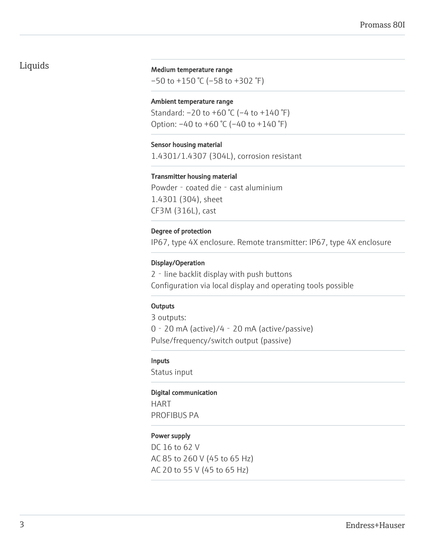# Liquids

#### Medium temperature range

–50 to +150 °C (–58 to +302 °F)

#### Ambient temperature range

Standard:  $-20$  to  $+60$  °C ( $-4$  to  $+140$  °F) Option: –40 to +60 °C (–40 to +140 °F)

#### Sensor housing material

1.4301/1.4307 (304L), corrosion resistant

#### Transmitter housing material

Powder - coated die - cast aluminium 1.4301 (304), sheet CF3M (316L), cast

#### Degree of protection

IP67, type 4X enclosure. Remote transmitter: IP67, type 4X enclosure

#### Display/Operation

2‐line backlit display with push buttons Configuration via local display and operating tools possible

#### **Outputs**

3 outputs: 0‐20 mA (active)/4‐20 mA (active/passive) Pulse/frequency/switch output (passive)

#### Inputs

Status input

#### Digital communication

HART PROFIBUS PA

#### Power supply

DC 16 to 62 V AC 85 to 260 V (45 to 65 Hz) AC 20 to 55 V (45 to 65 Hz)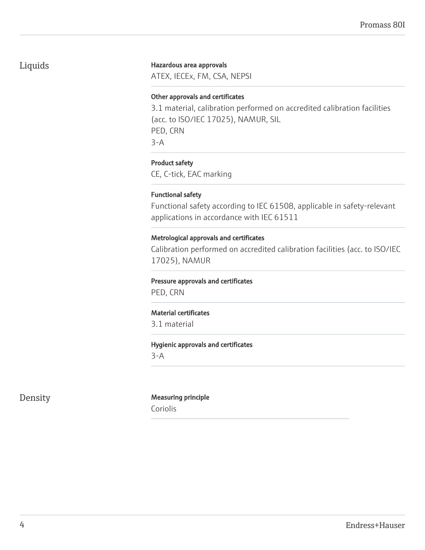# Liquids

#### Hazardous area approvals

ATEX, IECEx, FM, CSA, NEPSI

#### Other approvals and certificates

3.1 material, calibration performed on accredited calibration facilities (acc. to ISO/IEC 17025), NAMUR, SIL PED, CRN 3-A

## Product safety

CE, C-tick, EAC marking

#### Functional safety

Functional safety according to IEC 61508, applicable in safety-relevant applications in accordance with IEC 61511

### Metrological approvals and certificates

Calibration performed on accredited calibration facilities (acc. to ISO/IEC 17025), NAMUR

#### Pressure approvals and certificates

PED, CRN

#### Material certificates

3.1 material

#### Hygienic approvals and certificates

3-A

# Density Measuring principle

Coriolis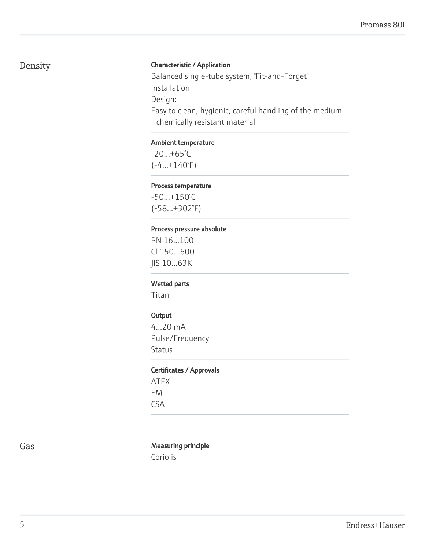# Density

## Characteristic / Application

Balanced single-tube system, "Fit-and-Forget" installation Design: Easy to clean, hygienic, careful handling of the medium - chemically resistant material

#### Ambient temperature

-20...+65°C (-4...+140°F)

#### Process temperature

-50...+150°C (-58...+302°F)

#### Process pressure absolute

PN 16...100 Cl 150...600 JIS 10...63K

#### Wetted parts

Titan

#### **Output**

4...20 mA Pulse/Frequency **Status** 

#### Certificates / Approvals

ATEX FM CSA

#### Gas **Gas** Measuring principle

Coriolis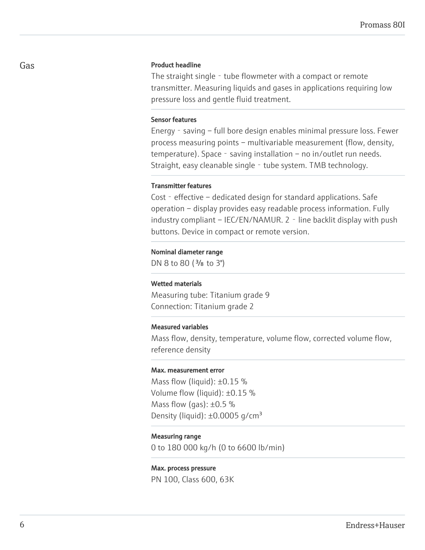#### Product headline

The straight single - tube flowmeter with a compact or remote transmitter. Measuring liquids and gases in applications requiring low pressure loss and gentle fluid treatment.

#### Sensor features

Energy - saving – full bore design enables minimal pressure loss. Fewer process measuring points – multivariable measurement (flow, density, temperature). Space - saving installation – no in/outlet run needs. Straight, easy cleanable single - tube system. TMB technology.

#### Transmitter features

Cost - effective – dedicated design for standard applications. Safe operation – display provides easy readable process information. Fully industry compliant – IEC/EN/NAMUR. 2 - line backlit display with push buttons. Device in compact or remote version.

#### Nominal diameter range

DN 8 to 80 (<sup>3</sup>/<sub>8</sub> to 3")

#### Wetted materials

Measuring tube: Titanium grade 9 Connection: Titanium grade 2

#### Measured variables

Mass flow, density, temperature, volume flow, corrected volume flow, reference density

#### Max. measurement error

Mass flow (liquid):  $\pm 0.15$  % Volume flow (liquid): ±0.15 % Mass flow (gas):  $\pm 0.5$  % Density (liquid):  $\pm 0.0005$  g/cm<sup>3</sup>

#### Measuring range

0 to 180 000 kg/h (0 to 6600 lb/min)

#### Max. process pressure

PN 100, Class 600, 63K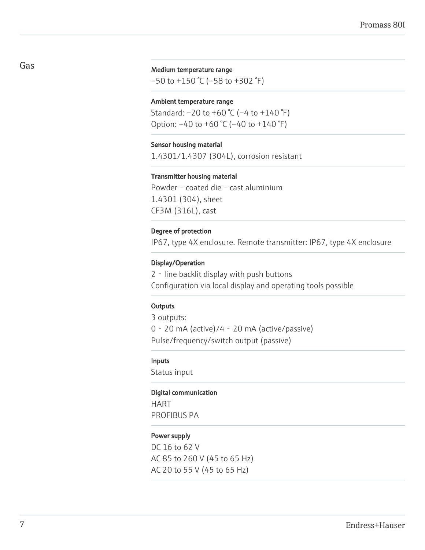#### Medium temperature range

–50 to +150 °C (–58 to +302 °F)

#### Ambient temperature range

Standard:  $-20$  to  $+60$  °C ( $-4$  to  $+140$  °F) Option: –40 to +60 °C (–40 to +140 °F)

#### Sensor housing material

1.4301/1.4307 (304L), corrosion resistant

#### Transmitter housing material

Powder - coated die - cast aluminium 1.4301 (304), sheet CF3M (316L), cast

#### Degree of protection

IP67, type 4X enclosure. Remote transmitter: IP67, type 4X enclosure

#### Display/Operation

2 - line backlit display with push buttons Configuration via local display and operating tools possible

#### **Outputs**

3 outputs: 0‐20 mA (active)/4‐20 mA (active/passive) Pulse/frequency/switch output (passive)

#### Inputs

Status input

#### Digital communication

HART PROFIBUS PA

#### Power supply

DC 16 to 62 V AC 85 to 260 V (45 to 65 Hz) AC 20 to 55 V (45 to 65 Hz)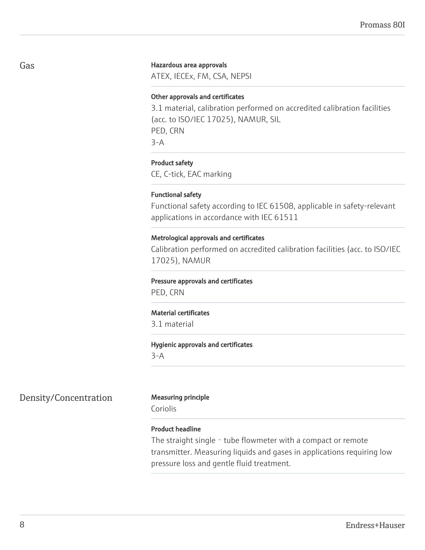#### Hazardous area approvals

ATEX, IECEx, FM, CSA, NEPSI

#### Other approvals and certificates

3.1 material, calibration performed on accredited calibration facilities (acc. to ISO/IEC 17025), NAMUR, SIL PED, CRN 3-A

#### Product safety

CE, C-tick, EAC marking

#### Functional safety

Functional safety according to IEC 61508, applicable in safety-relevant applications in accordance with IEC 61511

#### Metrological approvals and certificates

Calibration performed on accredited calibration facilities (acc. to ISO/IEC 17025), NAMUR

#### Pressure approvals and certificates

PED, CRN

#### Material certificates

3.1 material

#### Hygienic approvals and certificates

3-A

# Density/Concentration Measuring principle

Coriolis

#### Product headline

The straight single - tube flowmeter with a compact or remote transmitter. Measuring liquids and gases in applications requiring low pressure loss and gentle fluid treatment.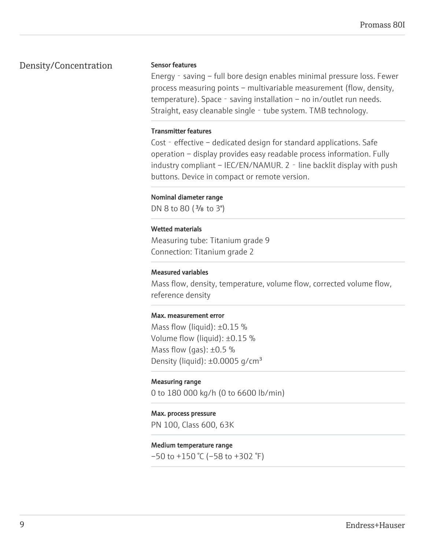# Density/Concentration

#### Sensor features

Energy - saving – full bore design enables minimal pressure loss. Fewer process measuring points – multivariable measurement (flow, density, temperature). Space - saving installation – no in/outlet run needs. Straight, easy cleanable single - tube system. TMB technology.

#### Transmitter features

Cost - effective – dedicated design for standard applications. Safe operation – display provides easy readable process information. Fully  $industry$  compliant – IEC/EN/NAMUR. 2 - line backlit display with push buttons. Device in compact or remote version.

#### Nominal diameter range

DN 8 to 80 (<sup>3</sup>/<sub>8</sub> to 3")

#### Wetted materials

Measuring tube: Titanium grade 9 Connection: Titanium grade 2

#### Measured variables

Mass flow, density, temperature, volume flow, corrected volume flow, reference density

#### Max. measurement error

Mass flow (liquid):  $\pm 0.15$  % Volume flow (liquid): ±0.15 % Mass flow (gas):  $\pm 0.5$  % Density (liquid):  $\pm 0.0005$  g/cm<sup>3</sup>

#### Measuring range

0 to 180 000 kg/h (0 to 6600 lb/min)

#### Max. process pressure

PN 100, Class 600, 63K

#### Medium temperature range

 $-50$  to  $+150$  °C ( $-58$  to  $+302$  °F)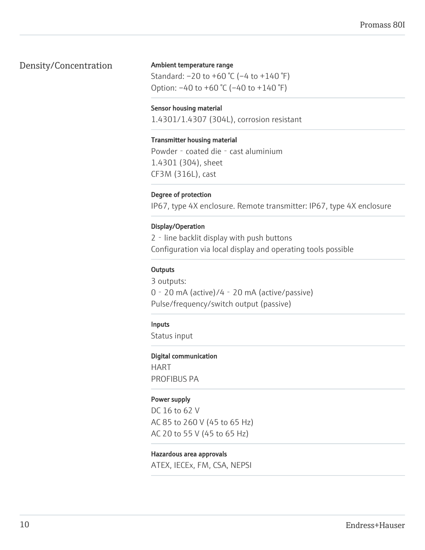# Density/Concentration

### Ambient temperature range

Standard: –20 to +60 °C (–4 to +140 °F) Option: –40 to +60 °C (–40 to +140 °F)

#### Sensor housing material

1.4301/1.4307 (304L), corrosion resistant

#### Transmitter housing material

Powder - coated die - cast aluminium 1.4301 (304), sheet CF3M (316L), cast

#### Degree of protection

IP67, type 4X enclosure. Remote transmitter: IP67, type 4X enclosure

#### Display/Operation

2‐line backlit display with push buttons Configuration via local display and operating tools possible

#### **Outputs**

3 outputs: 0‐20 mA (active)/4‐20 mA (active/passive) Pulse/frequency/switch output (passive)

#### Inputs

Status input

#### Digital communication

HART PROFIBUS PA

#### Power supply

DC 16 to 62 V AC 85 to 260 V (45 to 65 Hz) AC 20 to 55 V (45 to 65 Hz)

#### Hazardous area approvals

ATEX, IECEx, FM, CSA, NEPSI